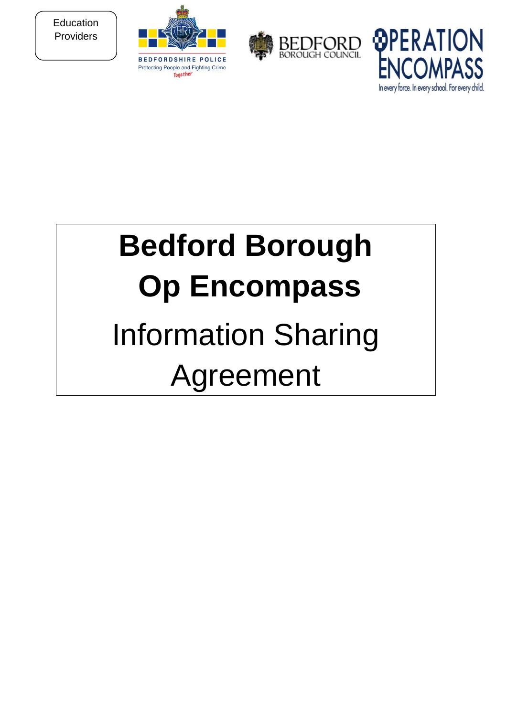**Education** Providers







# **Bedford Borough Op Encompass**  Information Sharing Agreement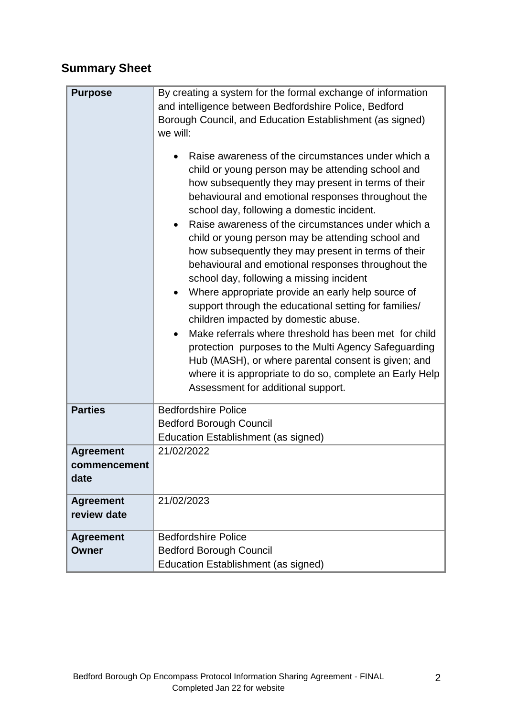# **Summary Sheet**

| <b>Purpose</b>                           | By creating a system for the formal exchange of information<br>and intelligence between Bedfordshire Police, Bedford<br>Borough Council, and Education Establishment (as signed)<br>we will:<br>Raise awareness of the circumstances under which a<br>child or young person may be attending school and<br>how subsequently they may present in terms of their<br>behavioural and emotional responses throughout the<br>school day, following a domestic incident.<br>Raise awareness of the circumstances under which a<br>child or young person may be attending school and<br>how subsequently they may present in terms of their<br>behavioural and emotional responses throughout the<br>school day, following a missing incident<br>Where appropriate provide an early help source of<br>support through the educational setting for families/<br>children impacted by domestic abuse.<br>Make referrals where threshold has been met for child<br>protection purposes to the Multi Agency Safeguarding<br>Hub (MASH), or where parental consent is given; and<br>where it is appropriate to do so, complete an Early Help<br>Assessment for additional support. |
|------------------------------------------|------------------------------------------------------------------------------------------------------------------------------------------------------------------------------------------------------------------------------------------------------------------------------------------------------------------------------------------------------------------------------------------------------------------------------------------------------------------------------------------------------------------------------------------------------------------------------------------------------------------------------------------------------------------------------------------------------------------------------------------------------------------------------------------------------------------------------------------------------------------------------------------------------------------------------------------------------------------------------------------------------------------------------------------------------------------------------------------------------------------------------------------------------------------------|
| <b>Parties</b>                           | <b>Bedfordshire Police</b><br><b>Bedford Borough Council</b><br>Education Establishment (as signed)                                                                                                                                                                                                                                                                                                                                                                                                                                                                                                                                                                                                                                                                                                                                                                                                                                                                                                                                                                                                                                                                    |
| <b>Agreement</b><br>commencement<br>date | 21/02/2022                                                                                                                                                                                                                                                                                                                                                                                                                                                                                                                                                                                                                                                                                                                                                                                                                                                                                                                                                                                                                                                                                                                                                             |
| <b>Agreement</b><br>review date          | 21/02/2023                                                                                                                                                                                                                                                                                                                                                                                                                                                                                                                                                                                                                                                                                                                                                                                                                                                                                                                                                                                                                                                                                                                                                             |
| <b>Agreement</b>                         | <b>Bedfordshire Police</b>                                                                                                                                                                                                                                                                                                                                                                                                                                                                                                                                                                                                                                                                                                                                                                                                                                                                                                                                                                                                                                                                                                                                             |
| Owner                                    | <b>Bedford Borough Council</b>                                                                                                                                                                                                                                                                                                                                                                                                                                                                                                                                                                                                                                                                                                                                                                                                                                                                                                                                                                                                                                                                                                                                         |
|                                          | Education Establishment (as signed)                                                                                                                                                                                                                                                                                                                                                                                                                                                                                                                                                                                                                                                                                                                                                                                                                                                                                                                                                                                                                                                                                                                                    |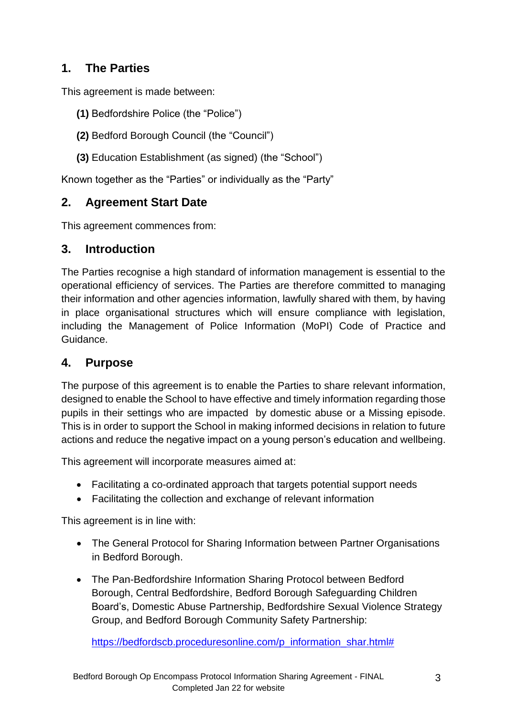## **1. The Parties**

This agreement is made between:

- **(1)** Bedfordshire Police (the "Police")
- **(2)** Bedford Borough Council (the "Council")
- **(3)** Education Establishment (as signed) (the "School")

Known together as the "Parties" or individually as the "Party"

#### **2. Agreement Start Date**

This agreement commences from:

#### **3. Introduction**

The Parties recognise a high standard of information management is essential to the operational efficiency of services. The Parties are therefore committed to managing their information and other agencies information, lawfully shared with them, by having in place organisational structures which will ensure compliance with legislation, including the Management of Police Information (MoPI) Code of Practice and Guidance.

#### **4. Purpose**

The purpose of this agreement is to enable the Parties to share relevant information, designed to enable the School to have effective and timely information regarding those pupils in their settings who are impacted by domestic abuse or a Missing episode. This is in order to support the School in making informed decisions in relation to future actions and reduce the negative impact on a young person's education and wellbeing.

This agreement will incorporate measures aimed at:

- Facilitating a co-ordinated approach that targets potential support needs
- Facilitating the collection and exchange of relevant information

This agreement is in line with:

- The General Protocol for Sharing Information between Partner Organisations in Bedford Borough.
- The Pan-Bedfordshire Information Sharing Protocol between Bedford Borough, Central Bedfordshire, Bedford Borough Safeguarding Children Board's, Domestic Abuse Partnership, Bedfordshire Sexual Violence Strategy Group, and Bedford Borough Community Safety Partnership:

[https://bedfordscb.proceduresonline.com/p\\_information\\_shar.html#](https://bedfordscb.proceduresonline.com/p_information_shar.html)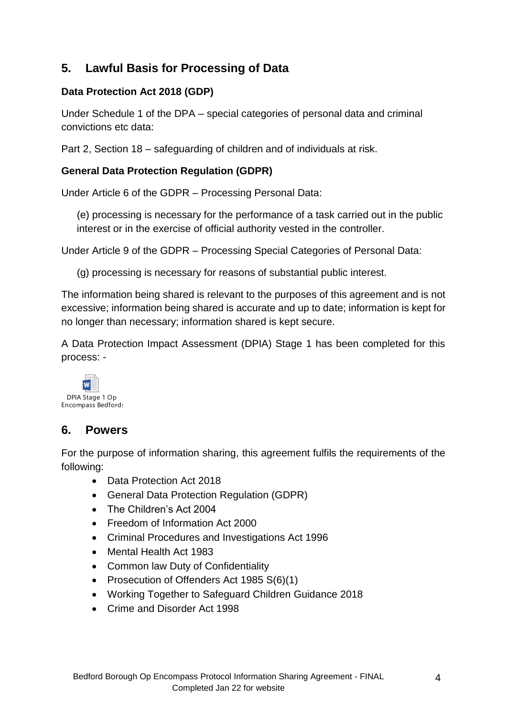# **5. Lawful Basis for Processing of Data**

#### **Data Protection Act 2018 (GDP)**

Under Schedule 1 of the DPA – special categories of personal data and criminal convictions etc data:

Part 2, Section 18 – safeguarding of children and of individuals at risk.

#### **General Data Protection Regulation (GDPR)**

Under Article 6 of the GDPR – Processing Personal Data:

(e) processing is necessary for the performance of a task carried out in the public interest or in the exercise of official authority vested in the controller.

Under Article 9 of the GDPR – Processing Special Categories of Personal Data:

(g) processing is necessary for reasons of substantial public interest.

The information being shared is relevant to the purposes of this agreement and is not excessive; information being shared is accurate and up to date; information is kept for no longer than necessary; information shared is kept secure.

A Data Protection Impact Assessment (DPIA) Stage 1 has been completed for this process: -



#### **6. Powers**

For the purpose of information sharing, this agreement fulfils the requirements of the following:

- Data Protection Act 2018
- General Data Protection Regulation (GDPR)
- The Children's Act 2004
- Freedom of Information Act 2000
- Criminal Procedures and Investigations Act 1996
- Mental Health Act 1983
- Common law Duty of Confidentiality
- Prosecution of Offenders Act 1985 S(6)(1)
- Working Together to Safeguard Children Guidance 2018
- Crime and Disorder Act 1998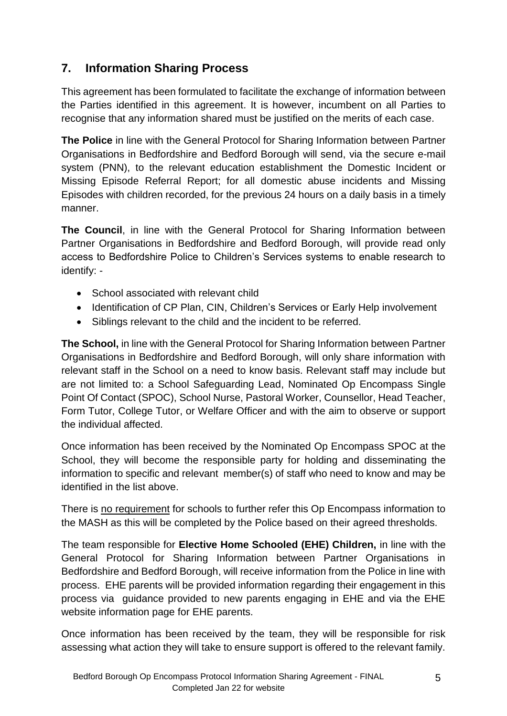# **7. Information Sharing Process**

This agreement has been formulated to facilitate the exchange of information between the Parties identified in this agreement. It is however, incumbent on all Parties to recognise that any information shared must be justified on the merits of each case.

**The Police** in line with the General Protocol for Sharing Information between Partner Organisations in Bedfordshire and Bedford Borough will send, via the secure e-mail system (PNN), to the relevant education establishment the Domestic Incident or Missing Episode Referral Report; for all domestic abuse incidents and Missing Episodes with children recorded, for the previous 24 hours on a daily basis in a timely manner.

**The Council**, in line with the General Protocol for Sharing Information between Partner Organisations in Bedfordshire and Bedford Borough, will provide read only access to Bedfordshire Police to Children's Services systems to enable research to identify: -

- School associated with relevant child
- Identification of CP Plan, CIN, Children's Services or Early Help involvement
- Siblings relevant to the child and the incident to be referred.

**The School,** in line with the General Protocol for Sharing Information between Partner Organisations in Bedfordshire and Bedford Borough, will only share information with relevant staff in the School on a need to know basis. Relevant staff may include but are not limited to: a School Safeguarding Lead, Nominated Op Encompass Single Point Of Contact (SPOC), School Nurse, Pastoral Worker, Counsellor, Head Teacher, Form Tutor, College Tutor, or Welfare Officer and with the aim to observe or support the individual affected.

Once information has been received by the Nominated Op Encompass SPOC at the School, they will become the responsible party for holding and disseminating the information to specific and relevant member(s) of staff who need to know and may be identified in the list above.

There is no requirement for schools to further refer this Op Encompass information to the MASH as this will be completed by the Police based on their agreed thresholds.

The team responsible for **Elective Home Schooled (EHE) Children,** in line with the General Protocol for Sharing Information between Partner Organisations in Bedfordshire and Bedford Borough, will receive information from the Police in line with process. EHE parents will be provided information regarding their engagement in this process via guidance provided to new parents engaging in EHE and via the EHE website information page for EHE parents.

Once information has been received by the team, they will be responsible for risk assessing what action they will take to ensure support is offered to the relevant family.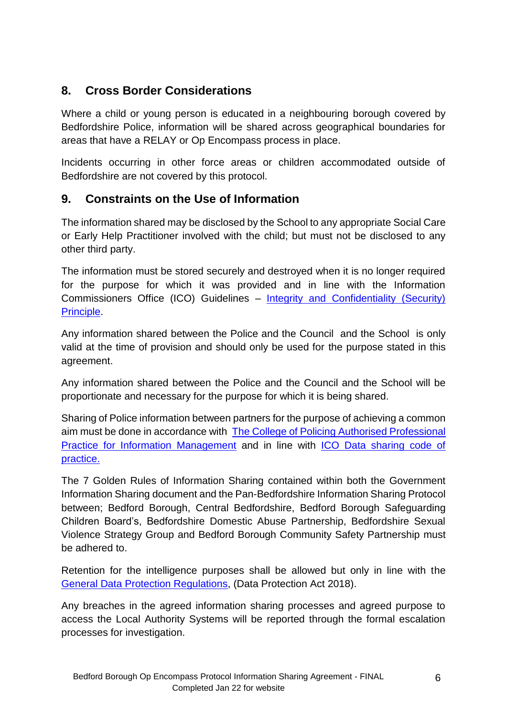## **8. Cross Border Considerations**

Where a child or young person is educated in a neighbouring borough covered by Bedfordshire Police, information will be shared across geographical boundaries for areas that have a RELAY or Op Encompass process in place.

Incidents occurring in other force areas or children accommodated outside of Bedfordshire are not covered by this protocol.

# **9. Constraints on the Use of Information**

The information shared may be disclosed by the School to any appropriate Social Care or Early Help Practitioner involved with the child; but must not be disclosed to any other third party.

The information must be stored securely and destroyed when it is no longer required for the purpose for which it was provided and in line with the Information Commissioners Office (ICO) Guidelines – [Integrity and Confidentiality \(Security\)](https://ico.org.uk/for-organisations/guide-to-the-general-data-protection-regulation-gdpr/security/)  [Principle.](https://ico.org.uk/for-organisations/guide-to-the-general-data-protection-regulation-gdpr/security/)

Any information shared between the Police and the Council and the School is only valid at the time of provision and should only be used for the purpose stated in this agreement.

Any information shared between the Police and the Council and the School will be proportionate and necessary for the purpose for which it is being shared.

Sharing of Police information between partners for the purpose of achieving a common aim must be done in accordance with [The College of Policing Authorised Professional](https://www.app.college.police.uk/app-content/major-investigation-and-public-protection/domestic-abuse/partnership-working-and-multi-agency-responses/)  [Practice for Information Management](https://www.app.college.police.uk/app-content/major-investigation-and-public-protection/domestic-abuse/partnership-working-and-multi-agency-responses/) and in line with [ICO Data sharing code of](https://ico.org.uk/about-the-ico/news-and-events/news-and-blogs/2020/12/ico-publishes-new-data-sharing-code-of-practice/)  [practice.](https://ico.org.uk/about-the-ico/news-and-events/news-and-blogs/2020/12/ico-publishes-new-data-sharing-code-of-practice/)

The 7 Golden Rules of Information Sharing contained within both the Government Information Sharing document and the Pan-Bedfordshire Information Sharing Protocol between; Bedford Borough, Central Bedfordshire, Bedford Borough Safeguarding Children Board's, Bedfordshire Domestic Abuse Partnership, Bedfordshire Sexual Violence Strategy Group and Bedford Borough Community Safety Partnership must be adhered to.

Retention for the intelligence purposes shall be allowed but only in line with the [General Data Protection Regulations,](https://ico.org.uk/for-organisations/guide-to-data-protection/guide-to-the-general-data-protection-regulation-gdpr/) (Data Protection Act 2018).

Any breaches in the agreed information sharing processes and agreed purpose to access the Local Authority Systems will be reported through the formal escalation processes for investigation.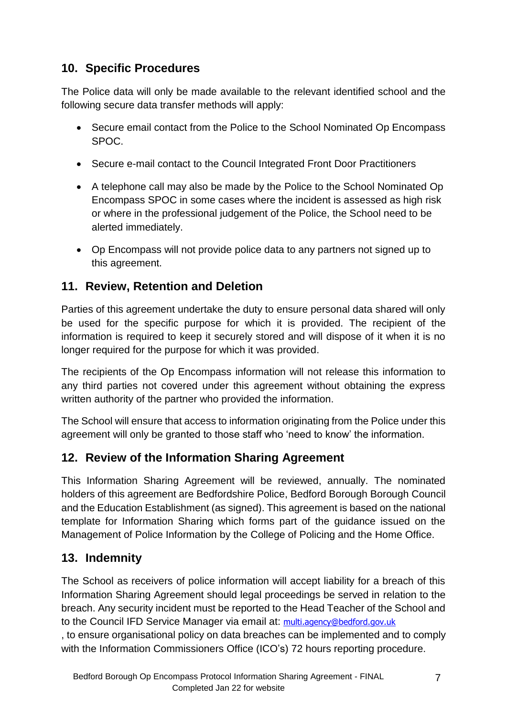# **10. Specific Procedures**

The Police data will only be made available to the relevant identified school and the following secure data transfer methods will apply:

- Secure email contact from the Police to the School Nominated Op Encompass SPOC.
- Secure e-mail contact to the Council Integrated Front Door Practitioners
- A telephone call may also be made by the Police to the School Nominated Op Encompass SPOC in some cases where the incident is assessed as high risk or where in the professional judgement of the Police, the School need to be alerted immediately.
- Op Encompass will not provide police data to any partners not signed up to this agreement.

## **11. Review, Retention and Deletion**

Parties of this agreement undertake the duty to ensure personal data shared will only be used for the specific purpose for which it is provided. The recipient of the information is required to keep it securely stored and will dispose of it when it is no longer required for the purpose for which it was provided.

The recipients of the Op Encompass information will not release this information to any third parties not covered under this agreement without obtaining the express written authority of the partner who provided the information.

The School will ensure that access to information originating from the Police under this agreement will only be granted to those staff who 'need to know' the information.

## **12. Review of the Information Sharing Agreement**

This Information Sharing Agreement will be reviewed, annually. The nominated holders of this agreement are Bedfordshire Police, Bedford Borough Borough Council and the Education Establishment (as signed). This agreement is based on the national template for Information Sharing which forms part of the guidance issued on the Management of Police Information by the College of Policing and the Home Office.

## **13. Indemnity**

The School as receivers of police information will accept liability for a breach of this Information Sharing Agreement should legal proceedings be served in relation to the breach. Any security incident must be reported to the Head Teacher of the School and to the Council IFD Service Manager via email at: [multi.agency@bedford.gov.uk](mailto:multi.agency@bedford.gov.uk)

, to ensure organisational policy on data breaches can be implemented and to comply with the Information Commissioners Office (ICO's) 72 hours reporting procedure.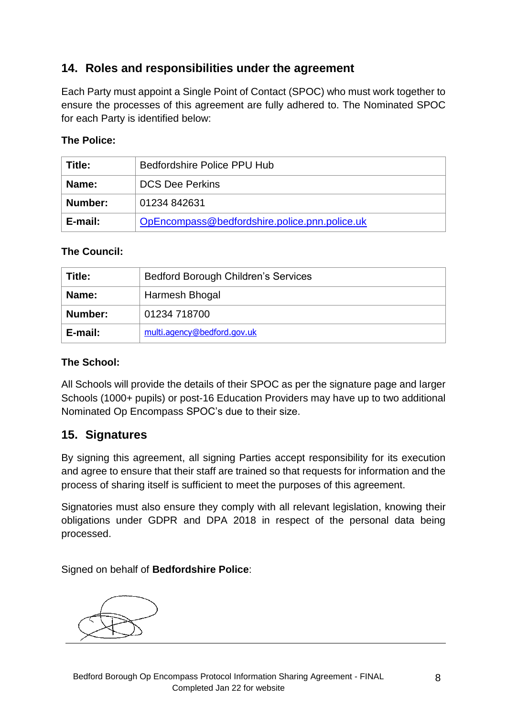#### **14. Roles and responsibilities under the agreement**

Each Party must appoint a Single Point of Contact (SPOC) who must work together to ensure the processes of this agreement are fully adhered to. The Nominated SPOC for each Party is identified below:

#### **The Police:**

| Title:  | Bedfordshire Police PPU Hub                   |
|---------|-----------------------------------------------|
| Name:   | <b>DCS Dee Perkins</b>                        |
| Number: | 01234 842631                                  |
| E-mail: | OpEncompass@bedfordshire.police.pnn.police.uk |

#### **The Council:**

| Title:  | <b>Bedford Borough Children's Services</b> |
|---------|--------------------------------------------|
| Name:   | Harmesh Bhogal                             |
| Number: | 01234 718700                               |
| E-mail: | multi.agency@bedford.gov.uk                |

#### **The School:**

All Schools will provide the details of their SPOC as per the signature page and larger Schools (1000+ pupils) or post-16 Education Providers may have up to two additional Nominated Op Encompass SPOC's due to their size.

#### **15. Signatures**

By signing this agreement, all signing Parties accept responsibility for its execution and agree to ensure that their staff are trained so that requests for information and the process of sharing itself is sufficient to meet the purposes of this agreement.

Signatories must also ensure they comply with all relevant legislation, knowing their obligations under GDPR and DPA 2018 in respect of the personal data being processed.

Signed on behalf of **Bedfordshire Police**: